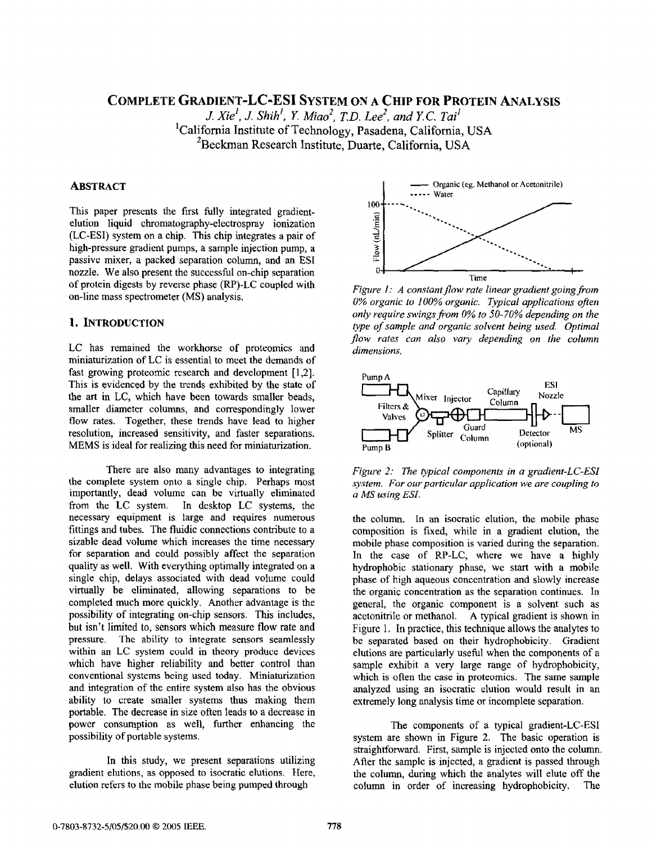# COMPLETE GRADIENT-LC-ESI SYSTEM ON A CHIP FOR PROTEIN ANALYSIS

 $J. Xie<sup>1</sup>, J. Shih<sup>1</sup>, Y. Miao<sup>2</sup>, T.D. Lee<sup>2</sup>, and Y.C. Tai<sup>1</sup>$ <sup>1</sup>California Institute of Technology, Pasadena, California, USA <sup>2</sup>Beckman Research Institute, Duarte, California, USA

### **ABSTRACT**

This paper presents the first fully integrated gradientelution liquid chromatography-electrospray ionization (LC-ESI) system on a chip. This chip integrates a pair of high-pressure gradient pumps, a sample injection pump, a passive mixer, a packed separation column, and an ESI nozzle. We also present the successful on-chip separation of protein digests by reverse phase (RP)-LC coupled with on-line mass spectrometer (MS) analysis.

## 1. INTRODUCTION

LC has remained the workhorse of proteomics and miniaturization of LC is essential to meet the demands of fast growing proteomic research and development [1,2]. This is evidenced by the trends exhibited by the state of the art in LC, which have been towards smaller beads, smaller diameter columns, and correspondingly lower flow rates. Together, these trends have lead to higher resolution, increased sensitivity, and faster separations. MEMS is ideal for realizing this need for miniaturization.

There are also many advantages to integrating the complete system onto a single chip. Perhaps most importantly, dead volume can be virtually eliminated from the LC system. In desktop LC systems, the necessary equipment is large and requires numerous fittings and tubes. The fluidic connections contribute to a sizable dead volume which increases the time necessary for separation and could possibly affect the separation quality as well. With everything optimally integrated on a single chip, delays associated with dead volume could virtually be eliminated, allowing separations to be completed much more quickly. Another advantage is the possibility of integrating on-chip sensors. This includes, but isn't limited to, sensors which measure flow rate and pressure. The ability to integrate sensors seamlessly within an LC system could in theory produce devices which have higher reliability and better control than conventional systems being used today. Miniaturization and integration of the entire system also has the obvious ability to create smaller systems thus making them portable. The decrease in size often leads to a decrease in power consumption as well, further enhancing the possibility of portable systems.

In this study, we present separations utilizing gradient elutions, as opposed to isocratic elutions. Here, elution refers to the mobile phase being pumped through



*Figure 1: A constant flow rate linear gradient going from 0% organic to 100% organic. Typical applications often only require swingsfrom 0% to 50-70% depending on the type ofsample and organic solvent being used. Optimal flow rates can also vary depending on the column dimensions.*



*Figure* 2: *The typical components in a gradient-LC-ESI system. For ourparticular application* we *are coupling to a MS using ES/.*

the column. In an isocratic elution, the mobile phase composition is fixed, while in a gradient elution, the mobile phase composition is varied during the separation. In the case of RP-LC, where we have a highly hydrophobic stationary phase, we start with a mobile phase of high aqueous concentration and slowly increase the organic concentration as the separation continues. In general, the organic component is a solvent such as acetonitrile or methanol. A typical gradient is shown in Figure 1. In practice, this technique allows the analytes to be separated based on their hydrophobicity. Gradient elutions are particularly useful when the components of a sample exhibit a very large range of hydrophobicity, which is often the case in proteomics. The same sample analyzed using an isocratic elution would result in an extremely long analysis time or incomplete separation.

The components of a typical gradient-LC-ESI system are shown in Figure 2. The basic operation is straightforward. First, sample is injected onto the column. After the sample is injected, a gradient is passed through the column, during which the analytes will elute off the column in order of increasing hydrophobicity. The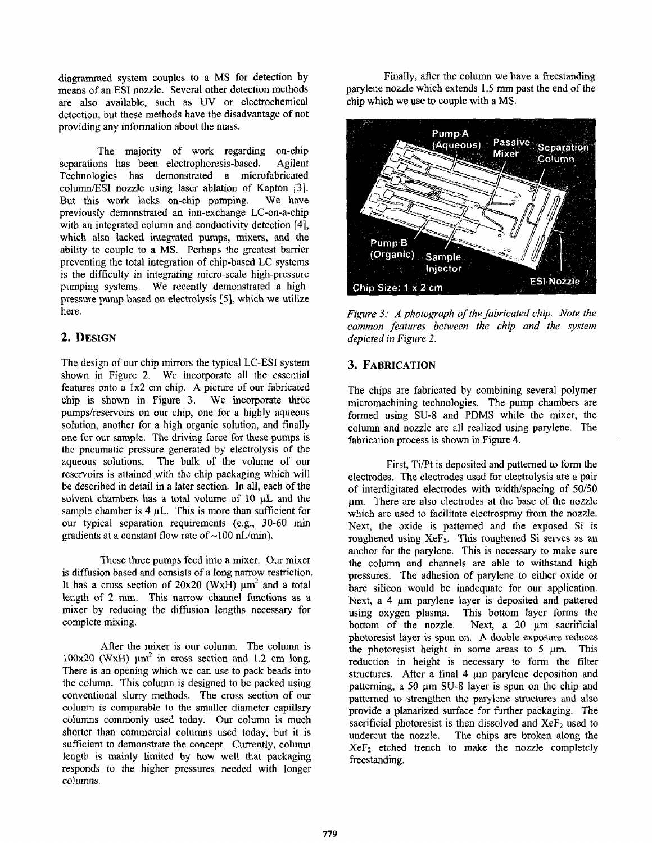diagrammed system couples to a MS for detection by means of an ESI nozzle. Several other detection methods are also available, such as UV or electrochemical detection, but these methods have the disadvantage of not providing any information about the mass.

The majority of work regarding on-chip separations has been electrophoresis-based. Agilent Technologies has demonstrated a microfabricated column/ESI nozzle using laser ablation of Kapton [3]. But this work lacks on-chip pumping. We have previously demonstrated an ion-exchange LC-on-a-chip with an integrated column and conductivity detection [4], which also lacked integrated pumps, mixers, and the ability to couple to a MS. Perhaps the greatest barrier preventing the total integration of chip-based LC systems is the difficulty in integrating micro-scale high-pressure pumping systems. We recently demonstrated a highpressure pump based on electrolysis [5], which we utilize here.

## 2. DESIGN

The design of our chip mirrors the typical LC-ESI system shown in Figure 2. We incorporate all the essential features onto a lx2 cm chip. A picture of our fabricated chip is shown in Figure 3. We incorporate three pumps/reservoirs on our chip, one for a highly aqueous solution, another for a high organic solution, and finally one for our sample. The driving force for these pumps is the pneumatic pressure generated by electrolysis of the aqueous solutions. The bulk of the volume of our reservoirs is attained with the chip packaging which will be described in detail in a later section. In all, each of the solvent chambers has a total volume of  $10 \mu L$  and the sample chamber is  $4 \mu L$ . This is more than sufficient for our typical separation requirements (e.g., 30-60 min gradients at a constant flow rate of  $\sim$ 100 nL/min).

These three pumps feed into a mixer. Our mixer is diffusion based and consists of a long narrow restriction. It has a cross section of  $20x20$  (WxH)  $\mu$ m<sup>2</sup> and a total length of 2 mm. This narrow channel functions as a mixer by reducing the diffusion lengths necessary for complete mixing.

After the mixer is our column. The column is  $100x20$  (WxH)  $\mu$ m<sup>2</sup> in cross section and 1.2 cm long. There is an opening which we can use to pack beads into the column. This column is designed to be packed using conventional slurry methods. The cross section of our column is comparable to the smaller diameter capillary columns commonly used today. Our column is much shorter than commercial colunms used today, but it is sufficient to demonstrate the concept. Currently, column length is mainly limited by how well that packaging responds to the higher pressures needed with longer columns.

Finally, after the column we have a freestanding parylene nozzle which extends 1.5 mm past the end of the chip which we use to couple with a MS.



*Figure* 3: *A photograph of the fabricated chip. Note the common features between the chip and the system depicted in Figure 2.*

## 3. FABRICATION

The chips are fabricated by combining several polymer micromachining technologies. The pump chambers are formed using SU-8 and PDMS while the mixer, the column and nozzle are all realized using parylene. The fabrication process is shown in Figure 4.

First, Ti/Pt is deposited and patterned to form the electrodes. The electrodes used for electrolysis are a pair of interdigitated electrodes with width/spacing of 50/50 um. There are also electrodes at the base of the nozzle which are used to facilitate electrospray from the nozzle. Next, the oxide is patterned and the exposed Si is roughened using XeF<sub>2</sub>. This roughened Si serves as an anchor for the parylene. This is necessary to make sure the column and channels are able to withstand high pressures. The adhesion of patylene to either oxide or bare silicon would be inadequate for our application. Next, a 4  $\mu$ m parylene layer is deposited and pattered using oxygen plasma. This bottom layer forms the bottom of the nozzle. Next, a  $20 \mu m$  sacrificial photoresist layer is spun on. A double exposure reduces the photoresist height in some areas to  $5 \mu m$ . This reduction in height is necessary to form the filter structures. After a final 4 um parylene deposition and patterning, a 50  $\mu$ m SU-8 layer is spun on the chip and patterned to strengthen the parylene structures and also provide a planarized surface for further packaging. The sacrificial photoresist is then dissolved and  $XeF<sub>2</sub>$  used to undercut the nozzle. The chips are broken along the The chips are broken along the  $XeF_2$  etched trench to make the nozzle completely freestanding.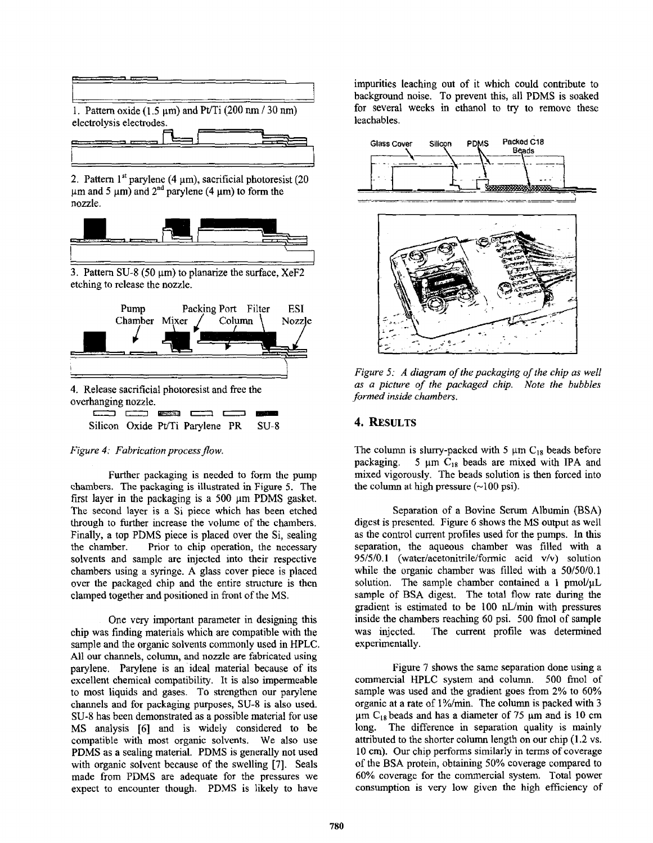

2. Pattern  $1<sup>st</sup>$  parylene (4  $\mu$ m), sacrificial photoresist (20  $\mu$ m and 5  $\mu$ m) and 2<sup>nd</sup> parylene (4  $\mu$ m) to form the nozzle.



3. Pattern SU-8 (50  $\mu$ m) to planarize the surface, XeF2



overhanging nozzle. r::=::J c=:J c::::::::I c::::J \_

Silicon Oxide Pt/Ti Parylene PR SU-8

## *Figure 4: Fabrication process flow.*

Further packaging is needed to form the pump chambers. The packaging is illustrated in Figure 5. The first layer in the packaging is a 500 µm PDMS gasket. The second layer is a Si piece which has been etched through to further increase the volume of the chambers. Finally, a top PDMS piece is placed over the Si, sealing the chamber. Prior to chip operation, the necessary solvents and sample are injected into their respective chambers using a syringe. A glass cover piece is placed over the packaged chip and the entire structure is then clamped together and positioned in front of the MS.

One very important parameter in designing this chip was finding materials which are compatible with the sample and the organic solvents commonly used in HPLC. All our channels, column, and nozzle are fabricated using parylene. Parylene is an ideal material because of its excellent chemical compatibility. It is also impermeable to most liquids and gases. To strengthen our parylene channels and for packaging purposes, SU-8 is also used. SU-8 has been demonstrated as a possible material for use MS analysis [6] and is widely considered to be compatible with most organic solvents. We also use PDMS as a sealing material. PDMS is generally not used with organic solvent because of the swelling [7]. Seals made from PDMS are adequate for the pressures we expect to encounter though. PDMS is likely to have

impurities leaching out of it which could contribute to background noise. To prevent this, all PDMS is soaked for several weeks in ethanol to try to remove these leachables.



*Figure* 5: *A diagram of the packaging of the chip as well as a picture of the packaged chip. Note the bubbles formed inside chambers.*

## **4. RESULTS**

The column is slurry-packed with 5  $\mu$ m C<sub>18</sub> beads before packaging. 5  $\mu$ m C<sub>18</sub> beads are mixed with IPA and mixed vigorously. The beads solution is then forced into the column at high pressure  $(-100 \text{ psi})$ .

Separation of a Bovine Serum Albumin (BSA) digest is presented. Figure 6 shows the MS output as well as the control current profiles used for the pumps. In this separation, the aqueous chamber was filled with a 95/5/0.1 (water/acetonitrile/formic acid v/v) solution while the organic chamber was filled with a 50/50/0.1 solution. The sample chamber contained a 1 pmol/ $\mu$ L sample of BSA digest. The total flow rate during the gradient is estimated to be 100 nL/min with pressures inside the chambers reaching 60 psi. 500 fmol of sample was injected. The current profile was determined experimentally.

Figure 7 shows the same separation done using a commercial HPLC system and column. 500 fmol of sample was used and the gradient goes from 2% to 60% organic at a rate of 1%/min. The column is packed with 3  $\mu$ m C<sub>18</sub> beads and has a diameter of 75  $\mu$ m and is 10 cm long. The difference in separation quality is mainly attributed to the shorter column length on our chip (1.2 vs. 10 cm). Our chip performs similarly in terms of coverage of the BSA protein, obtaining 50% coverage compared to 60% coverage for the commercial system. Total power consumption is very low given the high efficiency of